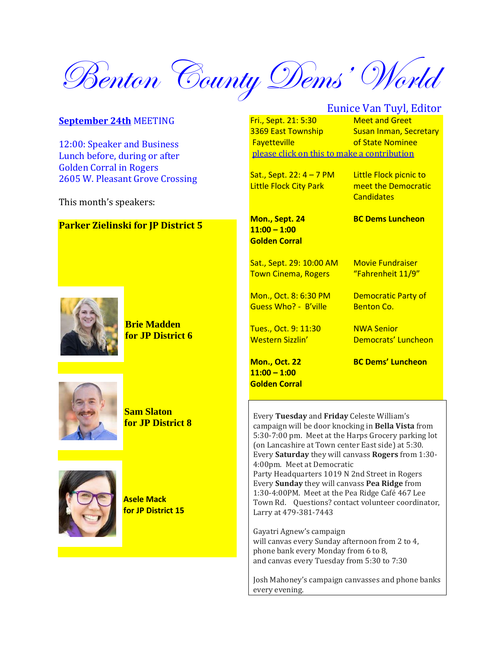Benton County Dems' World

#### **September 24th** MEETING

12:00: Speaker and Business Lunch before, during or after Golden Corral in Rogers 2605 W. Pleasant Grove Crossing

This month's speakers:

#### **Parker Zielinski for JP District 5**



**Brie Madden for JP District 6**



**Sam Slaton for JP District 8**



**Asele Mack for JP District 15**

# Eunice Van Tuyl, Editor

Fri., Sept. 21: 5:30 Meet and Greet 3369 East Township Susan Inman, Secretary **Favetteville Contained Exercise** of State Nominee please click on this [to make a contribution](https://cooksoutlook.us3.list-manage.com/track/click?u=2e3340f988cf83670d2fd14b0&id=79a483e6c1&e=bb454a3aa9)

Sat., Sept. 22:  $4 - 7$  PM Little Flock picnic to Little Flock City Park **meet the Democratic** 

**Candidates** 

**Mon., Sept. 24 BC Dems Luncheon 11:00 – 1:00 Golden Corral**

Sat., Sept. 29: 10:00 AM Movie Fundraiser Town Cinema, Rogers "Fahrenheit 11/9"

Mon., Oct. 8: 6:30 PM Democratic Party of Guess Who? - B'ville Benton Co.

Tues., Oct. 9: 11:30 NWA Senior

**11:00 – 1:00 Golden Corral**

Western Sizzlin' Democrats' Luncheon

**Mon., Oct. 22 BC Dems' Luncheon**

Every **Tuesday** and **Friday** Celeste William's campaign will be door knocking in **Bella Vista** from 5:30-7:00 pm. Meet at the Harps Grocery parking lot (on Lancashire at Town center East side) at 5:30. Every **Saturday** they will canvass **Rogers** from 1:30- 4:00pm. Meet at Democratic Party Headquarters 1019 N 2nd Street in Rogers Every **Sunday** they will canvass **Pea Ridge** from 1:30-4:00PM. Meet at the Pea Ridge Café 467 Lee Town Rd. Questions? contact volunteer coordinator, Larry at 479-381-7443

Gayatri Agnew's campaign will canvas every Sunday afternoon from 2 to 4, phone bank every Monday from 6 to 8, and canvas every Tuesday from 5:30 to 7:30

Josh Mahoney's campaign canvasses and phone banks every evening.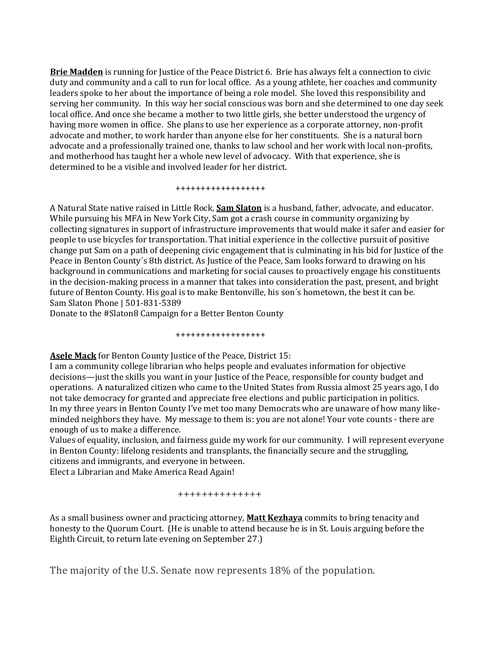**Brie Madden** is running for Justice of the Peace District 6. Brie has always felt a connection to civic duty and community and a call to run for local office. As a young athlete, her coaches and community leaders spoke to her about the importance of being a role model. She loved this responsibility and serving her community. In this way her social conscious was born and she determined to one day seek local office. And once she became a mother to two little girls, she better understood the urgency of having more women in office. She plans to use her experience as a corporate attorney, non-profit advocate and mother, to work harder than anyone else for her constituents. She is a natural born advocate and a professionally trained one, thanks to law school and her work with local non-profits, and motherhood has taught her a whole new level of advocacy. With that experience, she is determined to be a visible and involved leader for her district.

++++++++++++++++++

A Natural State native raised in Little Rock, **Sam Slaton** is a husband, father, advocate, and educator. While pursuing his MFA in New York City, Sam got a crash course in community organizing by collecting signatures in support of infrastructure improvements that would make it safer and easier for people to use bicycles for transportation. That initial experience in the collective pursuit of positive change put Sam on a path of deepening civic engagement that is culminating in his bid for Justice of the Peace in Benton County´s 8th district. As Justice of the Peace, Sam looks forward to drawing on his background in communications and marketing for social causes to proactively engage his constituents in the decision-making process in a manner that takes into consideration the past, present, and bright future of Benton County. His goal is to make Bentonville, his son´s hometown, the best it can be. Sam Slaton Phone | 501-831-5389

Donate to the #Slaton8 Campaign for a Better Benton County

++++++++++++++++++

**Asele Mack** for Benton County Justice of the Peace, District 15:

I am a community college librarian who helps people and evaluates information for objective decisions—just the skills you want in your Justice of the Peace, responsible for county budget and operations. A naturalized citizen who came to the United States from Russia almost 25 years ago, I do not take democracy for granted and appreciate free elections and public participation in politics. In my three years in Benton County I've met too many Democrats who are unaware of how many likeminded neighbors they have. My message to them is: you are not alone! Your vote counts - there are enough of us to make a difference.

Values of equality, inclusion, and fairness guide my work for our community. I will represent everyone in Benton County: lifelong residents and transplants, the financially secure and the struggling, citizens and immigrants, and everyone in between.

Elect a Librarian and Make America Read Again!

#### ++++++++++++++

As a small business owner and practicing attorney, **Matt Kezhaya** commits to bring tenacity and honesty to the Quorum Court. (He is unable to attend because he is in St. Louis arguing before the Eighth Circuit, to return late evening on September 27.)

The majority of the U.S. Senate now represents 18% of the population.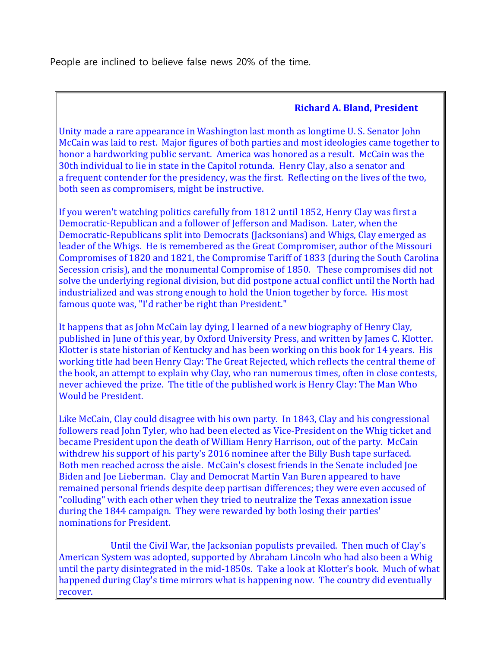People are inclined to believe false news 20% of the time.

# **Richard A. Bland, President**

Unity made a rare appearance in Washington last month as longtime U. S. Senator John McCain was laid to rest. Major figures of both parties and most ideologies came together to honor a hardworking public servant. America was honored as a result. McCain was the 30th individual to lie in state in the Capitol rotunda. Henry Clay, also a senator and a frequent contender for the presidency, was the first. Reflecting on the lives of the two, both seen as compromisers, might be instructive.

If you weren't watching politics carefully from 1812 until 1852, Henry Clay was first a Democratic-Republican and a follower of Jefferson and Madison. Later, when the Democratic-Republicans split into Democrats (Jacksonians) and Whigs, Clay emerged as leader of the Whigs. He is remembered as the Great Compromiser, author of the Missouri Compromises of 1820 and 1821, the Compromise Tariff of 1833 (during the South Carolina Secession crisis), and the monumental Compromise of 1850. These compromises did not solve the underlying regional division, but did postpone actual conflict until the North had industrialized and was strong enough to hold the Union together by force. His most famous quote was, "I'd rather be right than President."

It happens that as John McCain lay dying, I learned of a new biography of Henry Clay, published in June of this year, by Oxford University Press, and written by James C. Klotter. Klotter is state historian of Kentucky and has been working on this book for 14 years. His working title had been Henry Clay: The Great Rejected, which reflects the central theme of the book, an attempt to explain why Clay, who ran numerous times, often in close contests, never achieved the prize. The title of the published work is Henry Clay: The Man Who Would be President.

Like McCain, Clay could disagree with his own party. In 1843, Clay and his congressional followers read John Tyler, who had been elected as Vice-President on the Whig ticket and became President upon the death of William Henry Harrison, out of the party. McCain withdrew his support of his party's 2016 nominee after the Billy Bush tape surfaced. Both men reached across the aisle. McCain's closest friends in the Senate included Joe Biden and Joe Lieberman. Clay and Democrat Martin Van Buren appeared to have remained personal friends despite deep partisan differences; they were even accused of "colluding" with each other when they tried to neutralize the Texas annexation issue during the 1844 campaign. They were rewarded by both losing their parties' nominations for President.

Until the Civil War, the Jacksonian populists prevailed. Then much of Clay's American System was adopted, supported by Abraham Lincoln who had also been a Whig until the party disintegrated in the mid-1850s. Take a look at Klotter's book. Much of what happened during Clay's time mirrors what is happening now. The country did eventually recover.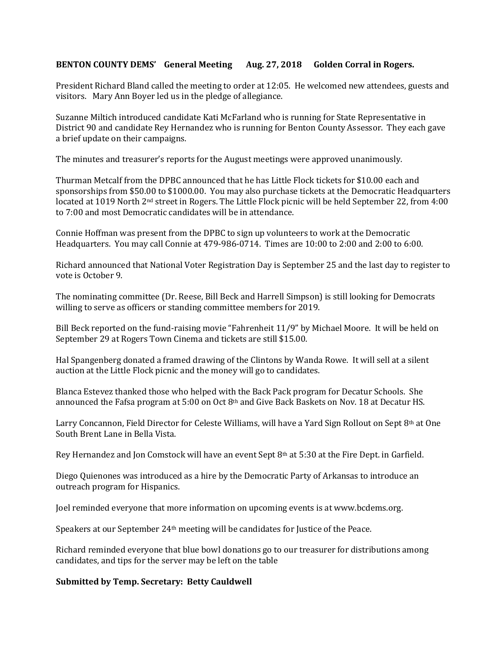### **BENTON COUNTY DEMS' General Meeting Aug. 27, 2018 Golden Corral in Rogers.**

President Richard Bland called the meeting to order at 12:05. He welcomed new attendees, guests and visitors. Mary Ann Boyer led us in the pledge of allegiance.

Suzanne Miltich introduced candidate Kati McFarland who is running for State Representative in District 90 and candidate Rey Hernandez who is running for Benton County Assessor. They each gave a brief update on their campaigns.

The minutes and treasurer's reports for the August meetings were approved unanimously.

Thurman Metcalf from the DPBC announced that he has Little Flock tickets for \$10.00 each and sponsorships from \$50.00 to \$1000.00. You may also purchase tickets at the Democratic Headquarters located at 1019 North 2nd street in Rogers. The Little Flock picnic will be held September 22, from 4:00 to 7:00 and most Democratic candidates will be in attendance.

Connie Hoffman was present from the DPBC to sign up volunteers to work at the Democratic Headquarters. You may call Connie at 479-986-0714. Times are 10:00 to 2:00 and 2:00 to 6:00.

Richard announced that National Voter Registration Day is September 25 and the last day to register to vote is October 9.

The nominating committee (Dr. Reese, Bill Beck and Harrell Simpson) is still looking for Democrats willing to serve as officers or standing committee members for 2019.

Bill Beck reported on the fund-raising movie "Fahrenheit 11/9" by Michael Moore. It will be held on September 29 at Rogers Town Cinema and tickets are still \$15.00.

Hal Spangenberg donated a framed drawing of the Clintons by Wanda Rowe. It will sell at a silent auction at the Little Flock picnic and the money will go to candidates.

Blanca Estevez thanked those who helped with the Back Pack program for Decatur Schools. She announced the Fafsa program at 5:00 on Oct 8th and Give Back Baskets on Nov. 18 at Decatur HS.

Larry Concannon, Field Director for Celeste Williams, will have a Yard Sign Rollout on Sept 8th at One South Brent Lane in Bella Vista.

Rey Hernandez and Jon Comstock will have an event Sept 8th at 5:30 at the Fire Dept. in Garfield.

Diego Quienones was introduced as a hire by the Democratic Party of Arkansas to introduce an outreach program for Hispanics.

Joel reminded everyone that more information on upcoming events is at www.bcdems.org.

Speakers at our September 24th meeting will be candidates for Justice of the Peace.

Richard reminded everyone that blue bowl donations go to our treasurer for distributions among candidates, and tips for the server may be left on the table

#### **Submitted by Temp. Secretary: Betty Cauldwell**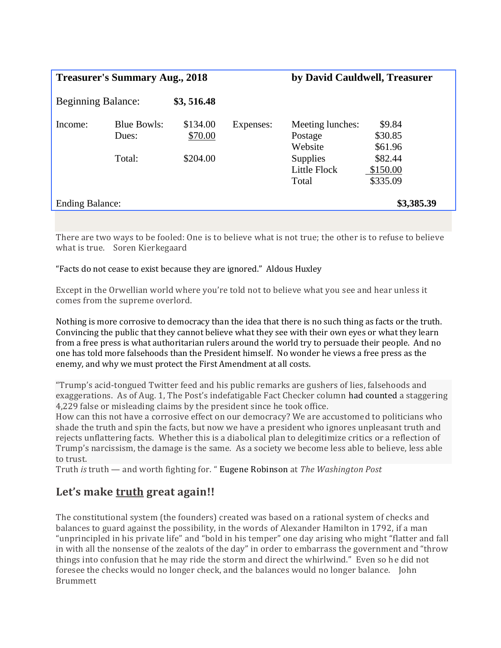| <b>Treasurer's Summary Aug., 2018</b> |                             |                     |           | by David Cauldwell, Treasurer            |                                 |
|---------------------------------------|-----------------------------|---------------------|-----------|------------------------------------------|---------------------------------|
| <b>Beginning Balance:</b>             |                             | \$3,516.48          |           |                                          |                                 |
| Income:                               | <b>Blue Bowls:</b><br>Dues: | \$134.00<br>\$70.00 | Expenses: | Meeting lunches:<br>Postage<br>Website   | \$9.84<br>\$30.85<br>\$61.96    |
|                                       | Total:                      | \$204.00            |           | <b>Supplies</b><br>Little Flock<br>Total | \$82.44<br>\$150.00<br>\$335.09 |
| <b>Ending Balance:</b>                |                             |                     |           | \$3,385.39                               |                                 |

There are two ways to be fooled: One is to believe what is not true; the other is to refuse to believe what is true. Soren Kierkegaard

## "Facts do not cease to exist because they are ignored." Aldous Huxley

Except in the Orwellian world where you're told not to believe what you see and hear unless it comes from the supreme overlord.

Nothing is more corrosive to democracy than the idea that there is no such thing as facts or the truth. Convincing the public that they cannot believe what they see with their own eyes or what they learn from a free press is what authoritarian rulers around the world try to persuade their people. And no one has told more falsehoods than the President himself. No wonder he views a free press as the enemy, and why we must protect the First Amendment at all costs.

"Trump's acid-tongued Twitter feed and his public remarks are gushers of lies, falsehoods and exaggerations. As of Aug. 1, The Post's indefatigable Fact Checker column [had counted](https://www.washingtonpost.com/news/fact-checker/wp/2018/08/01/president-trump-has-made-4229-false-or-misleading-claims-in-558-days/?utm_term=.9d3ec79f5d5a) a staggering 4,229 false or misleading claims by the president since he took office.

How can this not have a corrosive effect on our democracy? We are accustomed to politicians who shade the truth and spin the facts, but now we have a president who ignores unpleasant truth and rejects unflattering facts. Whether this is a diabolical plan to delegitimize critics or a reflection of Trump's narcissism, the damage is the same. As a society we become less able to believe, less able to trust.

Truth *is* truth — and worth fighting for. " [Eugene Robinson](https://www.washingtonpost.com/opinions/truth-isnt-truth-is-the-trump-eras-epitaph/2018/08/20/560b7b28-a4ad-11e8-8fac-12e98c13528d_story.html?noredirect=on&utm_term=.04f4170e6341) at *The Washington Post*

# **Let's make truth great again!!**

The constitutional system (the founders) created was based on a rational system of checks and balances to guard against the possibility, in the words of Alexander Hamilton in 1792, if a man "unprincipled in his private life" and "bold in his temper" one day arising who might "flatter and fall in with all the nonsense of the zealots of the day" in order to embarrass the government and "throw things into confusion that he may ride the storm and direct the whirlwind." Even so he did not foresee the checks would no longer check, and the balances would no longer balance. John Brummett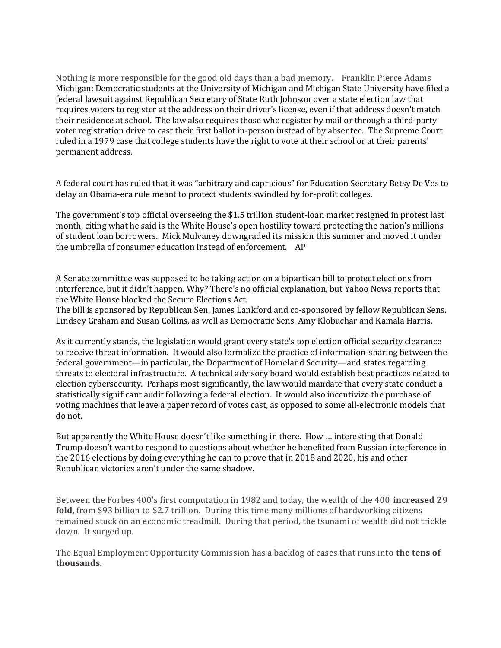Nothing is more responsible for the good old days than a bad memory. Franklin Pierce Adams Michigan: Democratic students at the University of Michigan and Michigan State University have filed a federal lawsuit against Republican Secretary of State Ruth Johnson over a state election law that requires voters to register at the address on their driver's license, even if that address doesn't match their residence at school. The law also requires those who register by mail or through a third-party voter registration drive to cast their first ballot in-person instead of by absentee. The Supreme Court ruled in a 1979 case that college students have the right to vote at their school or at their parents' permanent address.

A federal court has ruled that it was "arbitrary and capricious" for Education Secretary Betsy De Vos to delay an Obama-era rule meant to protect students swindled by for-profit colleges.

The government's top official overseeing the \$1.5 trillion student-loan market resigned in protest last month, citing what he said is the White House's open hostility toward protecting the nation's millions of student loan borrowers. Mick Mulvaney downgraded its mission this summer and moved it under the umbrella of consumer education instead of enforcement. AP

A Senate committee was supposed to be taking action on a bipartisan bill to protect elections from interference, but it didn't happen. Why? There's no official explanation, but Yahoo News reports that the White House blocked the Secure Elections Act.

The bill is sponsored by Republican Sen. James Lankford and co-sponsored by fellow Republican Sens. Lindsey Graham and Susan Collins, as well as Democratic Sens. Amy Klobuchar and Kamala Harris.

As it currently stands, the legislation would grant every state's top election official security clearance to receive threat information. It would also formalize the practice of information-sharing between the federal government—in particular, the Department of Homeland Security—and states regarding threats to electoral infrastructure. A technical advisory board would establish best practices related to election cybersecurity. Perhaps most significantly, the law would mandate that every state conduct a statistically significant audit following a federal election. It would also incentivize the purchase of voting machines that leave a paper record of votes cast, as opposed to some all-electronic models that do not.

But apparently the White House doesn't like something in there. How … interesting that Donald Trump doesn't want to respond to questions about whether he benefited from Russian interference in the 2016 elections by doing everything he can to prove that in 2018 and 2020, his and other Republican victories aren't under the same shadow.

Between the Forbes 400's first computation in 1982 and today, the wealth of the 400 **increased 29 fold**, from \$93 billion to \$2.7 trillion. During this time many millions of hardworking citizens remained stuck on an economic treadmill. During that period, the tsunami of wealth did not trickle down. It surged up.

The Equal Employment Opportunity Commission has a backlog of cases that runs into **the tens of thousands.**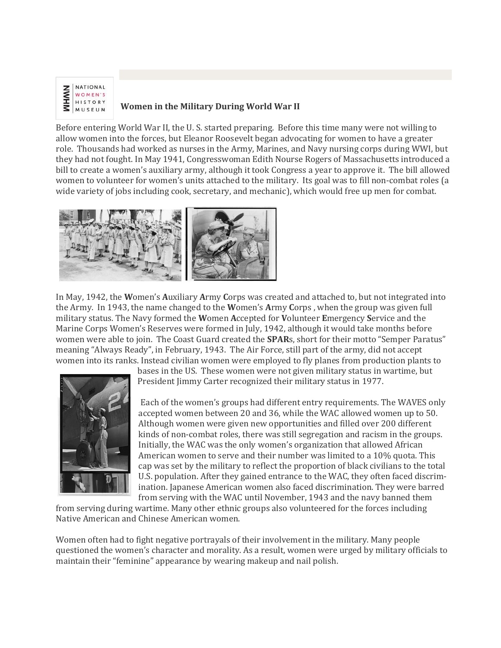

## **Women in the Military During World War II**

Before entering World War II, the U. S. started preparing. Before this time many were not willing to allow women into the forces, but Eleanor Roosevelt began advocating for women to have a greater role. Thousands had worked as nurses in the Army, Marines, and Navy nursing corps during WWI, but they had not fought. In May 1941, Congresswoman Edith Nourse Rogers of Massachusetts introduced a bill to create a women's auxiliary army, although it took Congress a year to approve it. The bill allowed women to volunteer for women's units attached to the military. Its goal was to fill non-combat roles (a wide variety of jobs including cook, secretary, and mechanic), which would free up men for combat.



In May, 1942, the **W**omen's **A**uxiliary **A**rmy **C**orps was created and attached to, but not integrated into the Army. In 1943, the name changed to the **W**omen's **A**rmy **C**orps , when the group was given full military status. The Navy formed the **W**omen **A**ccepted for **V**olunteer **E**mergency **S**ervice and the Marine Corps Women's Reserves were formed in July, 1942, although it would take months before women were able to join. The Coast Guard created the **SPAR**s, short for their motto "Semper Paratus" meaning "Always Ready", in February, 1943. The Air Force, still part of the army, did not accept women into its ranks. Instead civilian women were employed to fly planes from production plants to



bases in the US. These women were not given military status in wartime, but President Jimmy Carter recognized their military status in 1977.

Each of the women's groups had different entry requirements. The WAVES only accepted women between 20 and 36, while the WAC allowed women up to 50. Although women were given new opportunities and filled over 200 different kinds of non-combat roles, there was still segregation and racism in the groups. Initially, the WAC was the only women's organization that allowed African American women to serve and their number was limited to a 10% quota. This cap was set by the military to reflect the proportion of black civilians to the total U.S. population. After they gained entrance to the WAC, they often faced discrimination. Japanese American women also faced discrimination. They were barred from serving with the WAC until November, 1943 and the navy banned them

from serving during wartime. Many other ethnic groups also volunteered for the forces including Native American and Chinese American women.

Women often had to fight negative portrayals of their involvement in the military. Many people questioned the women's character and morality. As a result, women were urged by military officials to maintain their "feminine" appearance by wearing makeup and nail polish.